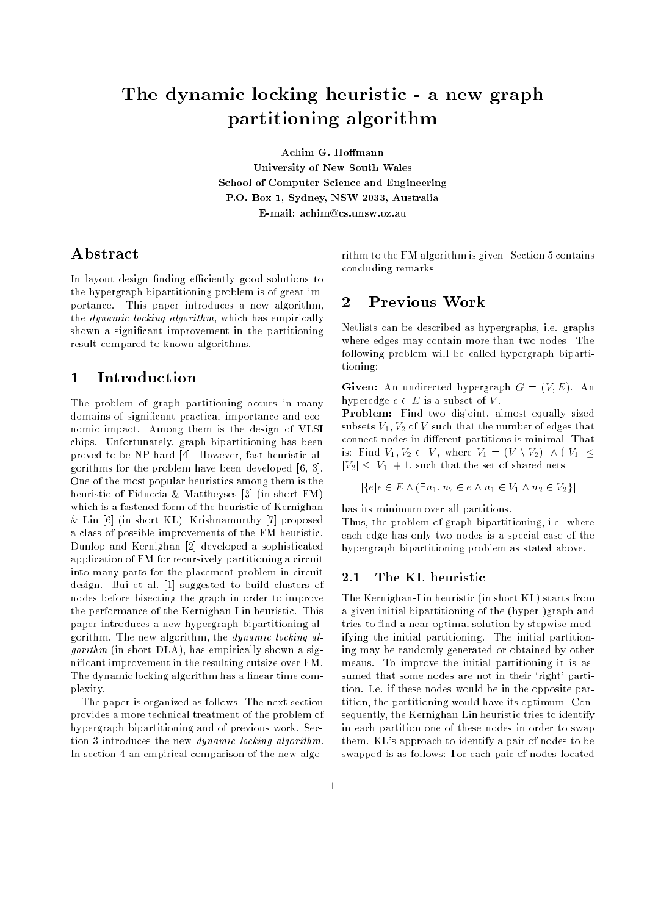# The dynamic locking heuristic - <sup>a</sup> new graph parties are the compact of the company

University of New South Wales School of Computer Science and Engineering P.O. Box 1, Sydney, NSW 2033, Australia E-mail: achim@cs.unsw.oz.au

### Abstract

In layout design finding efficiently good solutions to the hypergraph bipartitioning problem is of great importance. This paper introduces a new algorithm, the dynamic locking algorithm, which has empirically shown a signicant improvement in the partitioning result compared to known algorithms.

## 1 Introduction

The problem of graph partitioning occurs in many domains of signicant practical importance and economic impact. Among them is the design of VLSI chips. Unfortunately, graph bipartitioning has been proved to be NP-hard [4]. However, fast heuristic algorithms for the problem have been developed [6, 3]. One of the most popular heuristics among them is the heuristic of Fiduccia & Mattheyses [3] (in short FM) which is a fastened form of the heuristic of Kernighan & Lin [6] (in short KL). Krishnamurthy [7] proposed a class of possible improvements of the FM heuristic. Dunlop and Kernighan [2] developed a sophisticated application of FM for recursively partitioning a circuit into many parts for the placement problem in circuit design. Bui et al. [1] suggested to build clusters of nodes before bisecting the graph in order to improve the performance of the Kernighan-Lin heuristic. This paper introduces a new hypergraph bipartitioning algorithm. The new algorithm, the dynamic locking al $qorithm$  (in short DLA), has empirically shown a signicant improvement in the resulting cutsize over FM. The dynamic locking algorithm has a linear time complexity.

The paper is organized as follows. The next section provides a more technical treatment of the problem of hypergraph bipartitioning and of previous work. Section 3 introduces the new dynamic locking algorithm. In section 4 an empirical comparison of the new algorithm to the FM algorithm is given. Section 5 contains concluding remarks.

# 2 Previous Work

Netlists can be described as hypergraphs, i.e. graphs where edges may contain more than two nodes. The following problem will be called hypergraph bipartitioning:

**Given:** An undirected hypergraph  $G = (V, E)$ . An hyperedge  $e \in E$  is a subset of V.

Problem: Find two disjoint, almost equally sized subsets  $V_1$ ,  $V_2$  of V such that the number of edges that connect nodes in different partitions is minimal. That is: Find  $V_1, V_2 \subset V$ , where  $V_1 = (V \setminus V_2) \land (|V_1| \leq$  $|V_2| \leq |V_1| + 1$ , such that the set of shared nets

$$
|\{e|e \in E \wedge (\exists n_1, n_2 \in e \wedge n_1 \in V_1 \wedge n_2 \in V_2\}|
$$

has its minimum over all partitions.

Thus, the problem of graph bipartitioning, i.e. where each edge has only two nodes is a special case of the hypergraph bipartitioning problem as stated above.

#### 2.1The KL heuristic

The Kernighan-Lin heuristic (in short KL) starts from a given initial bipartitioning of the (hyper-)graph and tries to find a near-optimal solution by stepwise modifying the initial partitioning. The initial partitioning may be randomly generated or obtained by other means. To improve the initial partitioning it is assumed that some nodes are not in their 'right' partition. I.e. if these nodes would be in the opposite partition, the partitioning would have its optimum. Consequently, the Kernighan-Lin heuristic tries to identify in each partition one of these nodes in order to swap them. KL's approach to identify a pair of nodes to be swapped is as follows: For each pair of nodes located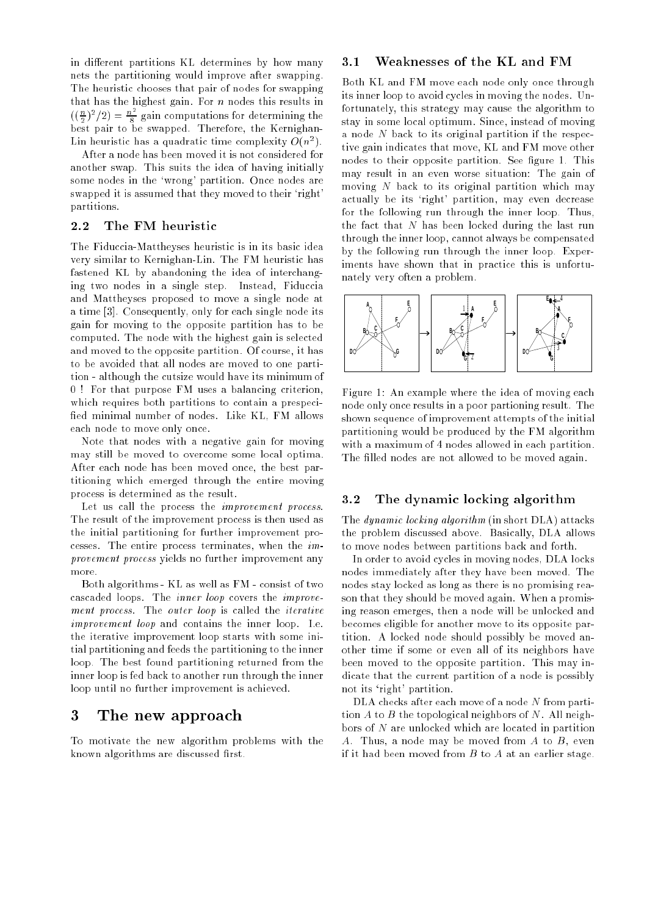in different partitions KL determines by how many nets the partitioning would improve after swapping. The heuristic chooses that pair of nodes for swapping that has the highest gain. For  $n$  nodes this results in  $\left(\left(\frac{n}{2}\right)^2/2\right) = \frac{n^2}{8}$  gain computations for determining the  $\overline{\phantom{a}}$ best pair to be swapped. Therefore, the Kernighan-Lin heuristic has a quadratic time complexity  $O(n^2)$ .

After a node has been moved it is not considered for another swap. This suits the idea of having initially some nodes in the 'wrong' partition. Once nodes are swapped it is assumed that they moved to their 'right' partitions.

#### 2.2 The FM heuristic

The Fiduccia-Mattheyses heuristic is in its basic idea very similar to Kernighan-Lin. The FM heuristic has fastened KL by abandoning the idea of interchanging two nodes in a single step. Instead, Fiduccia and Mattheyses proposed to move a single node at a time [3]. Consequently, only for each single node its gain for moving to the opposite partition has to be computed. The node with the highest gain is selected and moved to the opposite partition. Of course, it has to be avoided that all nodes are moved to one partition - although the cutsize would have its minimum of 0 ! For that purpose FM uses a balancing criterion, which requires both partitions to contain a prespeci fied minimal number of nodes. Like KL, FM allows each node to move only once.

Note that nodes with a negative gain for moving may still be moved to overcome some local optima. After each node has been moved once, the best partitioning which emerged through the entire moving process is determined as the result.

Let us call the process the *improvement process*. The result of the improvement process is then used as the initial partitioning for further improvement processes. The entire process terminates, when the  $im$ provement process yields no further improvement any more.

Both algorithms - KL as well as FM - consist of two cascaded loops. The inner loop covers the improvement process. The outer loop is called the iterative improvement loop and contains the inner loop. I.e. the iterative improvement loop starts with some initial partitioning and feeds the partitioning to the inner loop. The best found partitioning returned from the inner loop is fed back to another run through the inner loop until no further improvement is achieved.

## 3 The new approach

To motivate the new algorithm problems with the known algorithms are discussed first.

#### 3.1Weaknesses of the KL and FM

Both KL and FM move each node only once through its inner loop to avoid cycles in moving the nodes. Unfortunately, this strategy may cause the algorithm to stay in some local optimum. Since, instead of moving a node N back to its original partition if the respective gain indicates that move, KL and FM move other nodes to their opposite partition. See figure 1. This may result in an even worse situation: The gain of moving N back to its original partition which may actually be its 'right' partition, may even decrease for the following run through the inner loop. Thus, the fact that N has been locked during the last run through the inner loop, cannot always be compensated by the following run through the inner loop. Experiments have shown that in practice this is unfortunately very often a problem.



Figure 1: An example where the idea of moving each node only once results in a poor partioning result. The shown sequence of improvement attempts of the initial partitioning would be produced by the FM algorithm with a maximum of 4 nodes allowed in each partition. The filled nodes are not allowed to be moved again.

#### 3.2The dynamic locking algorithm

The dynamic locking algorithm (in short DLA) attacks the problem discussed above. Basically, DLA allows to move nodes between partitions back and forth.

In order to avoid cycles in moving nodes, DLA locks nodes immediately after they have been moved. The nodes stay locked as long as there is no promising reason that they should be moved again. When a promising reason emerges, then a node will be unlocked and becomes eligible for another move to its opposite partition. A locked node should possibly be moved another time if some or even all of its neighbors have been moved to the opposite partition. This may indicate that the current partition of a node is possibly not its `right' partition.

DLA checks after each move of a node N from partition  $A$  to  $B$  the topological neighbors of  $N$ . All neighbors of N are unlocked which are located in partition A. Thus, a node may be moved from A to B, even if it had been moved from  $B$  to  $A$  at an earlier stage.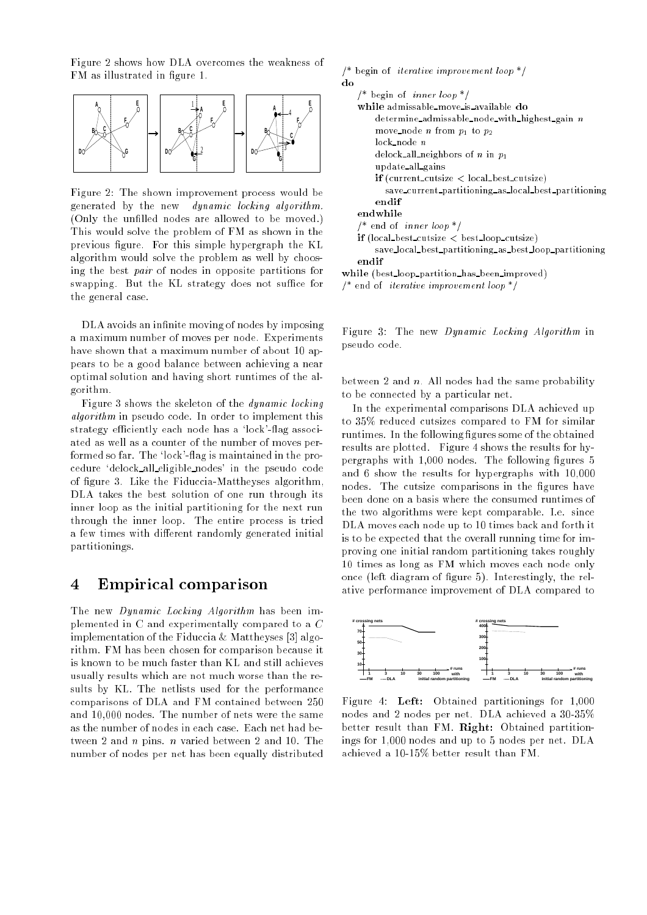Figure 2 shows how DLA overcomes the weakness of FM as illustrated in figure 1.



Figure 2: The shown improvement process would be generated by the new dynamic locking algorithm. (Only the unfilled nodes are allowed to be moved.) This would solve the problem of FM as shown in the previous figure. For this simple hypergraph the KL algorithm would solve the problem as well by choosing the best pair of nodes in opposite partitions for swapping. But the KL strategy does not suffice for the general case.

DLA avoids an infinite moving of nodes by imposing a maximum number of moves per node. Experiments have shown that a maximum number of about 10 appears to be a good balance between achieving a near optimal solution and having short runtimes of the algorithm.

Figure 3 shows the skeleton of the dynamic locking algorithm in pseudo code. In order to implement this strategy efficiently each node has a 'lock'-flag associated as well as a counter of the number of moves performed so far. The 'lock'-flag is maintained in the procedure `delock all eligible nodes' in the pseudo code of figure 3. Like the Fiduccia-Mattheyses algorithm, DLA takes the best solution of one run through its inner loop as the initial partitioning for the next run through the inner loop. The entire process is tried a few times with different randomly generated initial partitionings.

## 4 Empirical comparison

The new *Dynamic Locking Algorithm* has been implemented in C and experimentally compared to a C implementation of the Fiduccia & Mattheyses [3] algorithm. FM has been chosen for comparison because it is known to be much faster than KL and still achieves usually results which are not much worse than the results by KL. The netlists used for the performance comparisons of DLA and FM contained between 250 and 10,000 nodes. The number of nets were the same as the number of nodes in each case. Each net had between 2 and n pins. n varied between 2 and 10. The number of nodes per net has been equally distributed

| /* begin of <i>iterative improvement loop</i> $^*/$    |
|--------------------------------------------------------|
| do                                                     |
| /* begin of <i>inner loop</i> $*/$                     |
| while admissable move is available do                  |
| $determine\_admissable\_node\_with\_highest\_gain$ n   |
| move_node <i>n</i> from $p_1$ to $p_2$                 |
| $lock\_node$ n                                         |
| delock all neighbors of <i>n</i> in $p_1$              |
| update_all_gains                                       |
| $if$ (current_cutsize $\langle$ local_best_cutsize)    |
| save_current_partitioning_as_local_best_partitioning   |
| endif                                                  |
| endwhile                                               |
| /* end of <i>inner</i> loop $^*/$                      |
| $if (local_best_cutsize < bestloop_cutsize)$           |
| save_local_best_partitioning_as_best_loop_partitioning |
| $_{\rm endif}$                                         |
| while (best_loop_partition_has_been_improved)          |
|                                                        |

Figure 3: The new Dynamic Locking Algorithm in pseudo code.

/\* end of iterative improvement loop \*/

between 2 and  $n$ . All nodes had the same probability to be connected by a particular net.

In the experimental comparisons DLA achieved up to 35% reduced cutsizes compared to FM for similar runtimes. In the following figures some of the obtained results are plotted. Figure 4 shows the results for hypergraphs with 1,000 nodes. The following figures 5 and 6 show the results for hypergraphs with 10,000 nodes. The cutsize comparisons in the figures have been done on a basis where the consumed runtimes of the two algorithms were kept comparable. I.e. since DLA moves each node up to 10 times back and forth it is to be expected that the overall running time for improving one initial random partitioning takes roughly 10 times as long as FM which moves each node only once (left diagram of figure 5). Interestingly, the relative performance improvement of DLA compared to



Figure 4: Left: Obtained partitionings for 1,000 nodes and 2 nodes per net. DLA achieved a 30-35% better result than FM. Right: Obtained partitionings for 1,000 nodes and up to 5 nodes per net. DLA achieved a 10-15% better result than FM.